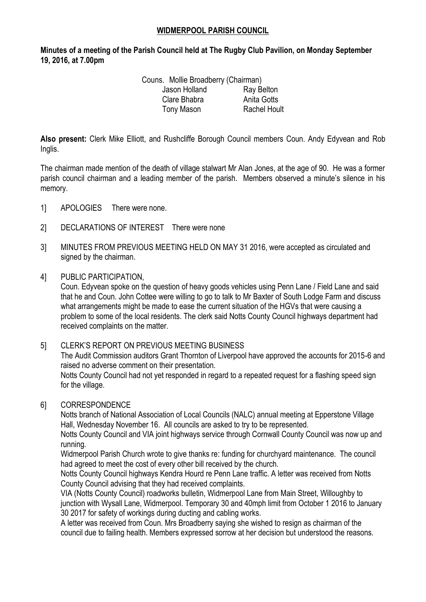#### **WIDMERPOOL PARISH COUNCIL**

**Minutes of a meeting of the Parish Council held at The Rugby Club Pavilion, on Monday September 19, 2016, at 7.00pm**

| Couns. Mollie Broadberry (Chairman) |                     |
|-------------------------------------|---------------------|
| Jason Holland                       | Ray Belton          |
| Clare Bhabra                        | Anita Gotts         |
| Tony Mason                          | <b>Rachel Hoult</b> |

**Also present:** Clerk Mike Elliott, and Rushcliffe Borough Council members Coun. Andy Edyvean and Rob Inglis.

The chairman made mention of the death of village stalwart Mr Alan Jones, at the age of 90. He was a former parish council chairman and a leading member of the parish. Members observed a minute's silence in his memory.

- 1] APOLOGIES There were none.
- 2] DECLARATIONS OF INTEREST There were none
- 3] MINUTES FROM PREVIOUS MEETING HELD ON MAY 31 2016, were accepted as circulated and signed by the chairman.
- 4] PUBLIC PARTICIPATION,

Coun. Edyvean spoke on the question of heavy goods vehicles using Penn Lane / Field Lane and said that he and Coun. John Cottee were willing to go to talk to Mr Baxter of South Lodge Farm and discuss what arrangements might be made to ease the current situation of the HGVs that were causing a problem to some of the local residents. The clerk said Notts County Council highways department had received complaints on the matter.

# 5] CLERK'S REPORT ON PREVIOUS MEETING BUSINESS

The Audit Commission auditors Grant Thornton of Liverpool have approved the accounts for 2015-6 and raised no adverse comment on their presentation.

Notts County Council had not vet responded in regard to a repeated request for a flashing speed sign for the village.

#### 6] CORRESPONDENCE

Notts branch of National Association of Local Councils (NALC) annual meeting at Epperstone Village Hall, Wednesday November 16. All councils are asked to try to be represented.

Notts County Council and VIA joint highways service through Cornwall County Council was now up and running.

Widmerpool Parish Church wrote to give thanks re: funding for churchyard maintenance. The council had agreed to meet the cost of every other bill received by the church.

Notts County Council highways Kendra Hourd re Penn Lane traffic. A letter was received from Notts County Council advising that they had received complaints.

VIA (Notts County Council) roadworks bulletin, Widmerpool Lane from Main Street, Willoughby to junction with Wysall Lane, Widmerpool. Temporary 30 and 40mph limit from October 1 2016 to January 30 2017 for safety of workings during ducting and cabling works.

A letter was received from Coun. Mrs Broadberry saying she wished to resign as chairman of the council due to failing health. Members expressed sorrow at her decision but understood the reasons.